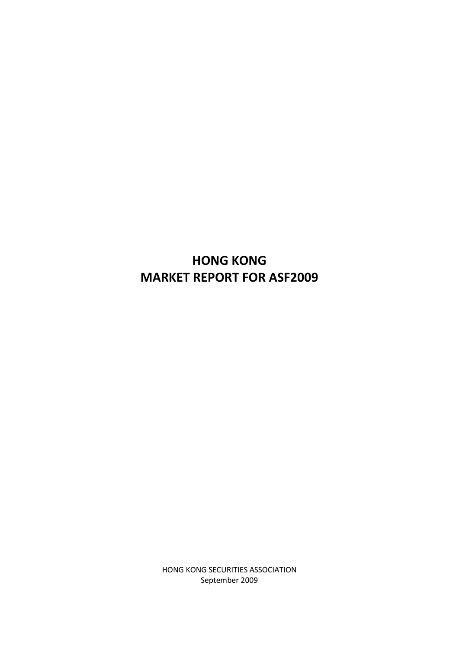# **HONG KONG MARKET REPORT FOR ASF2009**

HONG KONG SECURITIES ASSOCIATION September 2009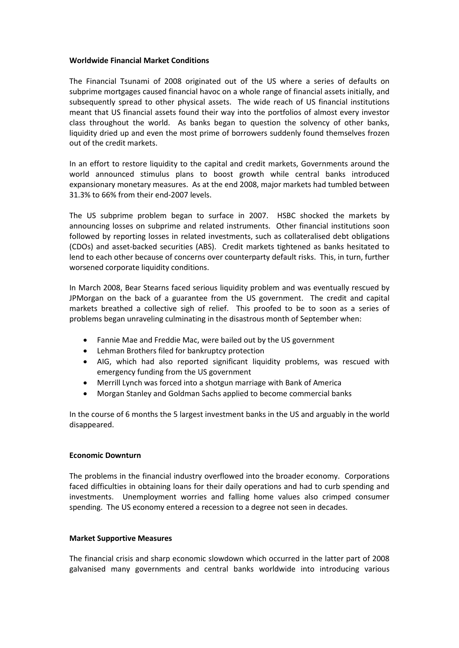## **Worldwide Financial Market Conditions**

The Financial Tsunami of 2008 originated out of the US where a series of defaults on subprime mortgages caused financial havoc on a whole range of financial assets initially, and subsequently spread to other physical assets. The wide reach of US financial institutions meant that US financial assets found their way into the portfolios of almost every investor class throughout the world. As banks began to question the solvency of other banks, liquidity dried up and even the most prime of borrowers suddenly found themselves frozen out of the credit markets.

In an effort to restore liquidity to the capital and credit markets, Governments around the world announced stimulus plans to boost growth while central banks introduced expansionary monetary measures. As at the end 2008, major markets had tumbled between 31.3% to 66% from their end-2007 levels.

The US subprime problem began to surface in 2007. HSBC shocked the markets by announcing losses on subprime and related instruments. Other financial institutions soon followed by reporting losses in related investments, such as collateralised debt obligations (CDOs) and asset-backed securities (ABS). Credit markets tightened as banks hesitated to lend to each other because of concerns over counterparty default risks. This, in turn, further worsened corporate liquidity conditions.

In March 2008, Bear Stearns faced serious liquidity problem and was eventually rescued by JPMorgan on the back of a guarantee from the US government. The credit and capital markets breathed a collective sigh of relief. This proofed to be to soon as a series of problems began unraveling culminating in the disastrous month of September when:

- Fannie Mae and Freddie Mac, were bailed out by the US government
- Lehman Brothers filed for bankruptcy protection
- AIG, which had also reported significant liquidity problems, was rescued with emergency funding from the US government
- Merrill Lynch was forced into a shotgun marriage with Bank of America
- Morgan Stanley and Goldman Sachs applied to become commercial banks

In the course of 6 months the 5 largest investment banks in the US and arguably in the world disappeared.

# **Economic Downturn**

The problems in the financial industry overflowed into the broader economy. Corporations faced difficulties in obtaining loans for their daily operations and had to curb spending and investments. Unemployment worries and falling home values also crimped consumer spending. The US economy entered a recession to a degree not seen in decades.

# **Market Supportive Measures**

The financial crisis and sharp economic slowdown which occurred in the latter part of 2008 galvanised many governments and central banks worldwide into introducing various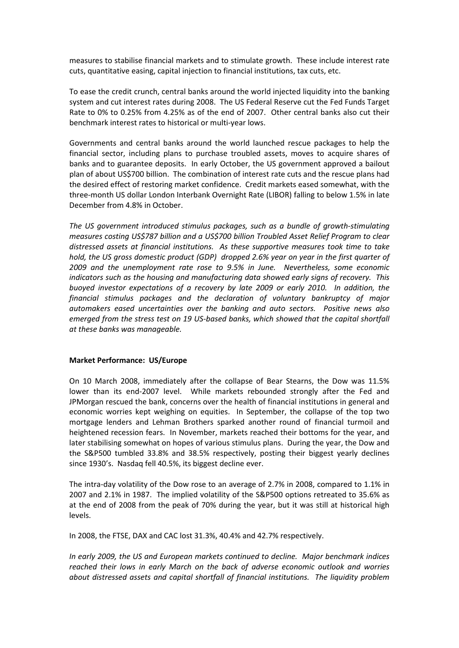measures to stabilise financial markets and to stimulate growth. These include interest rate cuts, quantitative easing, capital injection to financial institutions, tax cuts, etc.

To ease the credit crunch, central banks around the world injected liquidity into the banking system and cut interest rates during 2008. The US Federal Reserve cut the Fed Funds Target Rate to 0% to 0.25% from 4.25% as of the end of 2007. Other central banks also cut their benchmark interest rates to historical or multi-year lows.

Governments and central banks around the world launched rescue packages to help the financial sector, including plans to purchase troubled assets, moves to acquire shares of banks and to guarantee deposits. In early October, the US government approved a bailout plan of about US\$700 billion. The combination of interest rate cuts and the rescue plans had the desired effect of restoring market confidence. Credit markets eased somewhat, with the three-month US dollar London Interbank Overnight Rate (LIBOR) falling to below 1.5% in late December from 4.8% in October.

*The US government introduced stimulus packages, such as a bundle of growth-stimulating measures costing US\$787 billion and a US\$700 billion Troubled Asset Relief Program to clear distressed assets at financial institutions. As these supportive measures took time to take hold, the US gross domestic product (GDP) dropped 2.6% year on year in the first quarter of 2009 and the unemployment rate rose to 9.5% in June. Nevertheless, some economic indicators such as the housing and manufacturing data showed early signs of recovery. This buoyed investor expectations of a recovery by late 2009 or early 2010. In addition, the financial stimulus packages and the declaration of voluntary bankruptcy of major automakers eased uncertainties over the banking and auto sectors. Positive news also emerged from the stress test on 19 US-based banks, which showed that the capital shortfall at these banks was manageable.* 

#### **Market Performance: US/Europe**

On 10 March 2008, immediately after the collapse of Bear Stearns, the Dow was 11.5% lower than its end-2007 level. While markets rebounded strongly after the Fed and JPMorgan rescued the bank, concerns over the health of financial institutions in general and economic worries kept weighing on equities. In September, the collapse of the top two mortgage lenders and Lehman Brothers sparked another round of financial turmoil and heightened recession fears. In November, markets reached their bottoms for the year, and later stabilising somewhat on hopes of various stimulus plans. During the year, the Dow and the S&P500 tumbled 33.8% and 38.5% respectively, posting their biggest yearly declines since 1930's. Nasdaq fell 40.5%, its biggest decline ever.

The intra-day volatility of the Dow rose to an average of 2.7% in 2008, compared to 1.1% in 2007 and 2.1% in 1987. The implied volatility of the S&P500 options retreated to 35.6% as at the end of 2008 from the peak of 70% during the year, but it was still at historical high levels.

In 2008, the FTSE, DAX and CAC lost 31.3%, 40.4% and 42.7% respectively.

*In early 2009, the US and European markets continued to decline. Major benchmark indices reached their lows in early March on the back of adverse economic outlook and worries about distressed assets and capital shortfall of financial institutions. The liquidity problem*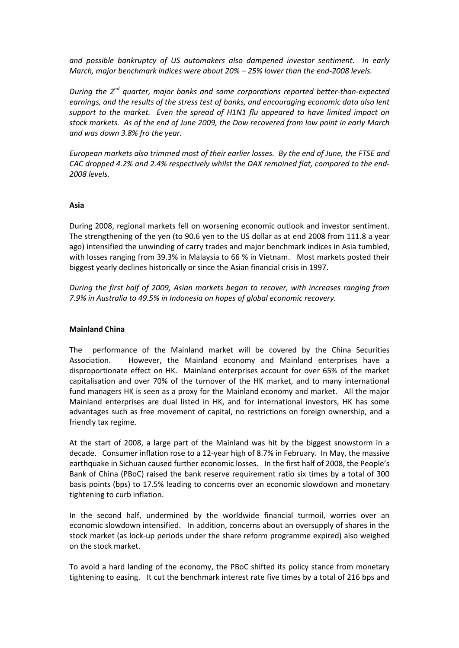*and possible bankruptcy of US automakers also dampened investor sentiment. In early March, major benchmark indices were about 20% – 25% lower than the end-2008 levels.* 

*During the 2nd quarter, major banks and some corporations reported better-than-expected earnings, and the results of the stress test of banks, and encouraging economic data also lent support to the market. Even the spread of H1N1 flu appeared to have limited impact on stock markets. As of the end of June 2009, the Dow recovered from low point in early March and was down 3.8% fro the year.* 

*European markets also trimmed most of their earlier losses. By the end of June, the FTSE and CAC dropped 4.2% and 2.4% respectively whilst the DAX remained flat, compared to the end-2008 levels.* 

## **Asia**

During 2008, regional markets fell on worsening economic outlook and investor sentiment. The strengthening of the yen (to 90.6 yen to the US dollar as at end 2008 from 111.8 a year ago) intensified the unwinding of carry trades and major benchmark indices in Asia tumbled, with losses ranging from 39.3% in Malaysia to 66 % in Vietnam. Most markets posted their biggest yearly declines historically or since the Asian financial crisis in 1997.

*During the first half of 2009, Asian markets began to recover, with increases ranging from 7.9% in Australia to 49.5% in Indonesia on hopes of global economic recovery.* 

# **Mainland China**

The performance of the Mainland market will be covered by the China Securities Association. However, the Mainland economy and Mainland enterprises have a disproportionate effect on HK. Mainland enterprises account for over 65% of the market capitalisation and over 70% of the turnover of the HK market, and to many international fund managers HK is seen as a proxy for the Mainland economy and market. All the major Mainland enterprises are dual listed in HK, and for international investors, HK has some advantages such as free movement of capital, no restrictions on foreign ownership, and a friendly tax regime.

At the start of 2008, a large part of the Mainland was hit by the biggest snowstorm in a decade. Consumer inflation rose to a 12-year high of 8.7% in February. In May, the massive earthquake in Sichuan caused further economic losses. In the first half of 2008, the People's Bank of China (PBoC) raised the bank reserve requirement ratio six times by a total of 300 basis points (bps) to 17.5% leading to concerns over an economic slowdown and monetary tightening to curb inflation.

In the second half, undermined by the worldwide financial turmoil, worries over an economic slowdown intensified. In addition, concerns about an oversupply of shares in the stock market (as lock-up periods under the share reform programme expired) also weighed on the stock market.

To avoid a hard landing of the economy, the PBoC shifted its policy stance from monetary tightening to easing. It cut the benchmark interest rate five times by a total of 216 bps and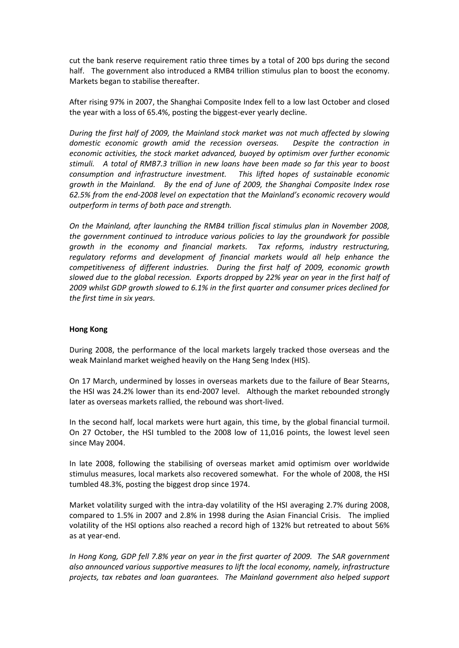cut the bank reserve requirement ratio three times by a total of 200 bps during the second half. The government also introduced a RMB4 trillion stimulus plan to boost the economy. Markets began to stabilise thereafter.

After rising 97% in 2007, the Shanghai Composite Index fell to a low last October and closed the year with a loss of 65.4%, posting the biggest-ever yearly decline.

*During the first half of 2009, the Mainland stock market was not much affected by slowing domestic economic growth amid the recession overseas. Despite the contraction in economic activities, the stock market advanced, buoyed by optimism over further economic stimuli. A total of RMB7.3 trillion in new loans have been made so far this year to boost consumption and infrastructure investment. This lifted hopes of sustainable economic growth in the Mainland. By the end of June of 2009, the Shanghai Composite Index rose 62.5% from the end-2008 level on expectation that the Mainland's economic recovery would outperform in terms of both pace and strength.*

*On the Mainland, after launching the RMB4 trillion fiscal stimulus plan in November 2008, the government continued to introduce various policies to lay the groundwork for possible growth in the economy and financial markets. Tax reforms, industry restructuring, regulatory reforms and development of financial markets would all help enhance the competitiveness of different industries. During the first half of 2009, economic growth slowed due to the global recession. Exports dropped by 22% year on year in the first half of 2009 whilst GDP growth slowed to 6.1% in the first quarter and consumer prices declined for the first time in six years.*

# **Hong Kong**

During 2008, the performance of the local markets largely tracked those overseas and the weak Mainland market weighed heavily on the Hang Seng Index (HIS).

On 17 March, undermined by losses in overseas markets due to the failure of Bear Stearns, the HSI was 24.2% lower than its end-2007 level. Although the market rebounded strongly later as overseas markets rallied, the rebound was short-lived.

In the second half, local markets were hurt again, this time, by the global financial turmoil. On 27 October, the HSI tumbled to the 2008 low of 11,016 points, the lowest level seen since May 2004.

In late 2008, following the stabilising of overseas market amid optimism over worldwide stimulus measures, local markets also recovered somewhat. For the whole of 2008, the HSI tumbled 48.3%, posting the biggest drop since 1974.

Market volatility surged with the intra-day volatility of the HSI averaging 2.7% during 2008, compared to 1.5% in 2007 and 2.8% in 1998 during the Asian Financial Crisis. The implied volatility of the HSI options also reached a record high of 132% but retreated to about 56% as at year-end.

*In Hong Kong, GDP fell 7.8% year on year in the first quarter of 2009. The SAR government also announced various supportive measures to lift the local economy, namely, infrastructure projects, tax rebates and loan guarantees. The Mainland government also helped support*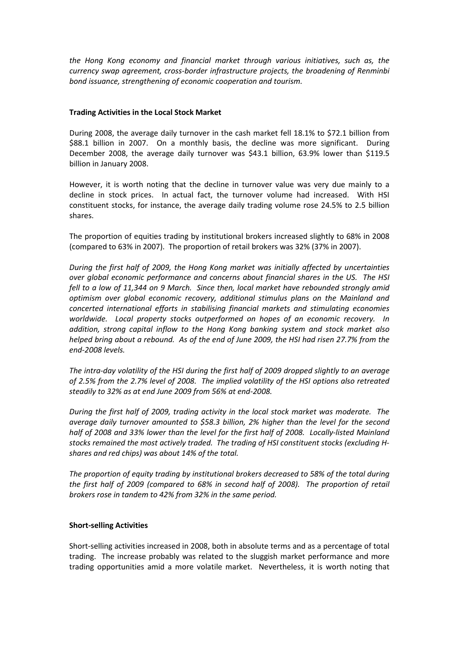*the Hong Kong economy and financial market through various initiatives, such as, the currency swap agreement, cross-border infrastructure projects, the broadening of Renminbi bond issuance, strengthening of economic cooperation and tourism.* 

## **Trading Activities in the Local Stock Market**

During 2008, the average daily turnover in the cash market fell 18.1% to \$72.1 billion from \$88.1 billion in 2007. On a monthly basis, the decline was more significant. During December 2008, the average daily turnover was \$43.1 billion, 63.9% lower than \$119.5 billion in January 2008.

However, it is worth noting that the decline in turnover value was very due mainly to a decline in stock prices. In actual fact, the turnover volume had increased. With HSI constituent stocks, for instance, the average daily trading volume rose 24.5% to 2.5 billion shares.

The proportion of equities trading by institutional brokers increased slightly to 68% in 2008 (compared to 63% in 2007). The proportion of retail brokers was 32% (37% in 2007).

*During the first half of 2009, the Hong Kong market was initially affected by uncertainties over global economic performance and concerns about financial shares in the US. The HSI fell to a low of 11,344 on 9 March. Since then, local market have rebounded strongly amid optimism over global economic recovery, additional stimulus plans on the Mainland and concerted international efforts in stabilising financial markets and stimulating economies worldwide. Local property stocks outperformed on hopes of an economic recovery. In addition, strong capital inflow to the Hong Kong banking system and stock market also helped bring about a rebound. As of the end of June 2009, the HSI had risen 27.7% from the end-2008 levels.* 

*The intra-day volatility of the HSI during the first half of 2009 dropped slightly to an average of 2.5% from the 2.7% level of 2008. The implied volatility of the HSI options also retreated steadily to 32% as at end June 2009 from 56% at end-2008.* 

*During the first half of 2009, trading activity in the local stock market was moderate. The average daily turnover amounted to \$58.3 billion, 2% higher than the level for the second half of 2008 and 33% lower than the level for the first half of 2008. Locally-listed Mainland stocks remained the most actively traded. The trading of HSI constituent stocks (excluding Hshares and red chips) was about 14% of the total.* 

*The proportion of equity trading by institutional brokers decreased to 58% of the total during the first half of 2009 (compared to 68% in second half of 2008). The proportion of retail brokers rose in tandem to 42% from 32% in the same period.* 

# **Short-selling Activities**

Short-selling activities increased in 2008, both in absolute terms and as a percentage of total trading. The increase probably was related to the sluggish market performance and more trading opportunities amid a more volatile market. Nevertheless, it is worth noting that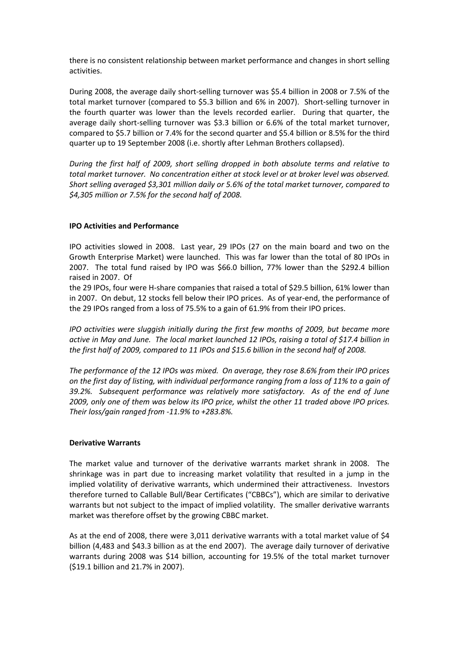there is no consistent relationship between market performance and changes in short selling activities.

During 2008, the average daily short-selling turnover was \$5.4 billion in 2008 or 7.5% of the total market turnover (compared to \$5.3 billion and 6% in 2007). Short-selling turnover in the fourth quarter was lower than the levels recorded earlier. During that quarter, the average daily short-selling turnover was \$3.3 billion or 6.6% of the total market turnover, compared to \$5.7 billion or 7.4% for the second quarter and \$5.4 billion or 8.5% for the third quarter up to 19 September 2008 (i.e. shortly after Lehman Brothers collapsed).

*During the first half of 2009, short selling dropped in both absolute terms and relative to total market turnover. No concentration either at stock level or at broker level was observed. Short selling averaged \$3,301 million daily or 5.6% of the total market turnover, compared to \$4,305 million or 7.5% for the second half of 2008.* 

# **IPO Activities and Performance**

IPO activities slowed in 2008. Last year, 29 IPOs (27 on the main board and two on the Growth Enterprise Market) were launched. This was far lower than the total of 80 IPOs in 2007. The total fund raised by IPO was \$66.0 billion, 77% lower than the \$292.4 billion raised in 2007. Of

the 29 IPOs, four were H-share companies that raised a total of \$29.5 billion, 61% lower than in 2007. On debut, 12 stocks fell below their IPO prices. As of year-end, the performance of the 29 IPOs ranged from a loss of 75.5% to a gain of 61.9% from their IPO prices.

*IPO activities were sluggish initially during the first few months of 2009, but became more active in May and June. The local market launched 12 IPOs, raising a total of \$17.4 billion in the first half of 2009, compared to 11 IPOs and \$15.6 billion in the second half of 2008.* 

*The performance of the 12 IPOs was mixed. On average, they rose 8.6% from their IPO prices on the first day of listing, with individual performance ranging from a loss of 11% to a gain of 39.2%. Subsequent performance was relatively more satisfactory. As of the end of June 2009, only one of them was below its IPO price, whilst the other 11 traded above IPO prices. Their loss/gain ranged from -11.9% to +283.8%.* 

# **Derivative Warrants**

The market value and turnover of the derivative warrants market shrank in 2008. The shrinkage was in part due to increasing market volatility that resulted in a jump in the implied volatility of derivative warrants, which undermined their attractiveness. Investors therefore turned to Callable Bull/Bear Certificates ("CBBCs"), which are similar to derivative warrants but not subject to the impact of implied volatility. The smaller derivative warrants market was therefore offset by the growing CBBC market.

As at the end of 2008, there were 3,011 derivative warrants with a total market value of \$4 billion (4,483 and \$43.3 billion as at the end 2007). The average daily turnover of derivative warrants during 2008 was \$14 billion, accounting for 19.5% of the total market turnover (\$19.1 billion and 21.7% in 2007).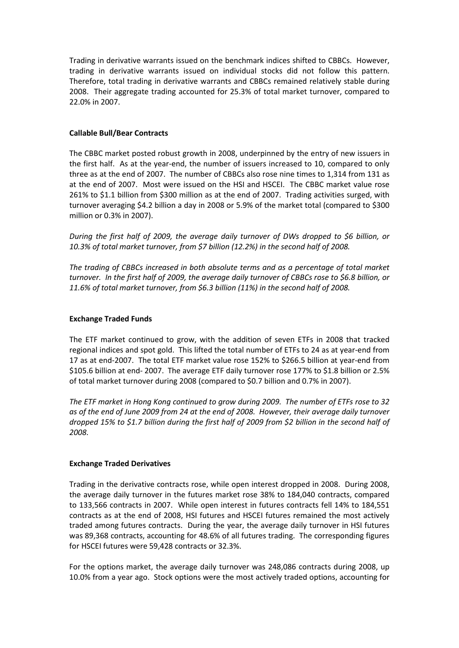Trading in derivative warrants issued on the benchmark indices shifted to CBBCs. However, trading in derivative warrants issued on individual stocks did not follow this pattern. Therefore, total trading in derivative warrants and CBBCs remained relatively stable during 2008. Their aggregate trading accounted for 25.3% of total market turnover, compared to 22.0% in 2007.

# **Callable Bull/Bear Contracts**

The CBBC market posted robust growth in 2008, underpinned by the entry of new issuers in the first half. As at the year-end, the number of issuers increased to 10, compared to only three as at the end of 2007. The number of CBBCs also rose nine times to 1,314 from 131 as at the end of 2007. Most were issued on the HSI and HSCEI. The CBBC market value rose 261% to \$1.1 billion from \$300 million as at the end of 2007. Trading activities surged, with turnover averaging \$4.2 billion a day in 2008 or 5.9% of the market total (compared to \$300 million or 0.3% in 2007).

*During the first half of 2009, the average daily turnover of DWs dropped to \$6 billion, or 10.3% of total market turnover, from \$7 billion (12.2%) in the second half of 2008.* 

*The trading of CBBCs increased in both absolute terms and as a percentage of total market turnover. In the first half of 2009, the average daily turnover of CBBCs rose to \$6.8 billion, or 11.6% of total market turnover, from \$6.3 billion (11%) in the second half of 2008.* 

#### **Exchange Traded Funds**

The ETF market continued to grow, with the addition of seven ETFs in 2008 that tracked regional indices and spot gold. This lifted the total number of ETFs to 24 as at year-end from 17 as at end-2007. The total ETF market value rose 152% to \$266.5 billion at year-end from \$105.6 billion at end- 2007. The average ETF daily turnover rose 177% to \$1.8 billion or 2.5% of total market turnover during 2008 (compared to \$0.7 billion and 0.7% in 2007).

*The ETF market in Hong Kong continued to grow during 2009. The number of ETFs rose to 32 as of the end of June 2009 from 24 at the end of 2008. However, their average daily turnover dropped 15% to \$1.7 billion during the first half of 2009 from \$2 billion in the second half of 2008.* 

#### **Exchange Traded Derivatives**

Trading in the derivative contracts rose, while open interest dropped in 2008. During 2008, the average daily turnover in the futures market rose 38% to 184,040 contracts, compared to 133,566 contracts in 2007. While open interest in futures contracts fell 14% to 184,551 contracts as at the end of 2008, HSI futures and HSCEI futures remained the most actively traded among futures contracts. During the year, the average daily turnover in HSI futures was 89,368 contracts, accounting for 48.6% of all futures trading. The corresponding figures for HSCEI futures were 59,428 contracts or 32.3%.

For the options market, the average daily turnover was 248,086 contracts during 2008, up 10.0% from a year ago. Stock options were the most actively traded options, accounting for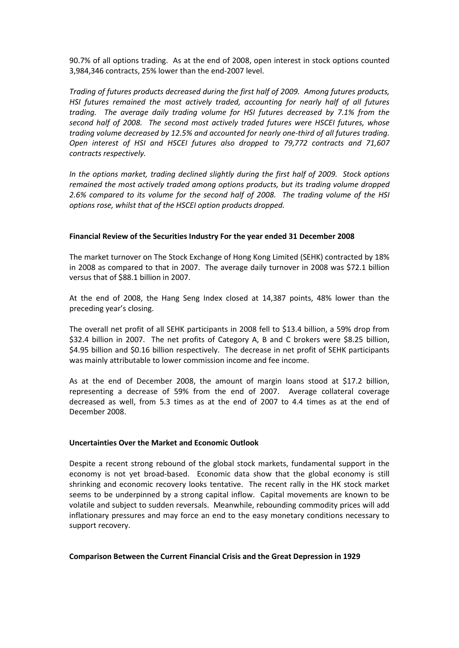90.7% of all options trading. As at the end of 2008, open interest in stock options counted 3,984,346 contracts, 25% lower than the end-2007 level.

*Trading of futures products decreased during the first half of 2009. Among futures products, HSI futures remained the most actively traded, accounting for nearly half of all futures trading. The average daily trading volume for HSI futures decreased by 7.1% from the second half of 2008. The second most actively traded futures were HSCEI futures, whose trading volume decreased by 12.5% and accounted for nearly one-third of all futures trading. Open interest of HSI and HSCEI futures also dropped to 79,772 contracts and 71,607 contracts respectively.* 

*In the options market, trading declined slightly during the first half of 2009. Stock options remained the most actively traded among options products, but its trading volume dropped 2.6% compared to its volume for the second half of 2008. The trading volume of the HSI options rose, whilst that of the HSCEI option products dropped.* 

## **Financial Review of the Securities Industry For the year ended 31 December 2008**

The market turnover on The Stock Exchange of Hong Kong Limited (SEHK) contracted by 18% in 2008 as compared to that in 2007. The average daily turnover in 2008 was \$72.1 billion versus that of \$88.1 billion in 2007.

At the end of 2008, the Hang Seng Index closed at 14,387 points, 48% lower than the preceding year's closing.

The overall net profit of all SEHK participants in 2008 fell to \$13.4 billion, a 59% drop from \$32.4 billion in 2007. The net profits of Category A, B and C brokers were \$8.25 billion, \$4.95 billion and \$0.16 billion respectively. The decrease in net profit of SEHK participants was mainly attributable to lower commission income and fee income.

As at the end of December 2008, the amount of margin loans stood at \$17.2 billion, representing a decrease of 59% from the end of 2007. Average collateral coverage decreased as well, from 5.3 times as at the end of 2007 to 4.4 times as at the end of December 2008.

#### **Uncertainties Over the Market and Economic Outlook**

Despite a recent strong rebound of the global stock markets, fundamental support in the economy is not yet broad-based. Economic data show that the global economy is still shrinking and economic recovery looks tentative. The recent rally in the HK stock market seems to be underpinned by a strong capital inflow. Capital movements are known to be volatile and subject to sudden reversals. Meanwhile, rebounding commodity prices will add inflationary pressures and may force an end to the easy monetary conditions necessary to support recovery.

#### **Comparison Between the Current Financial Crisis and the Great Depression in 1929**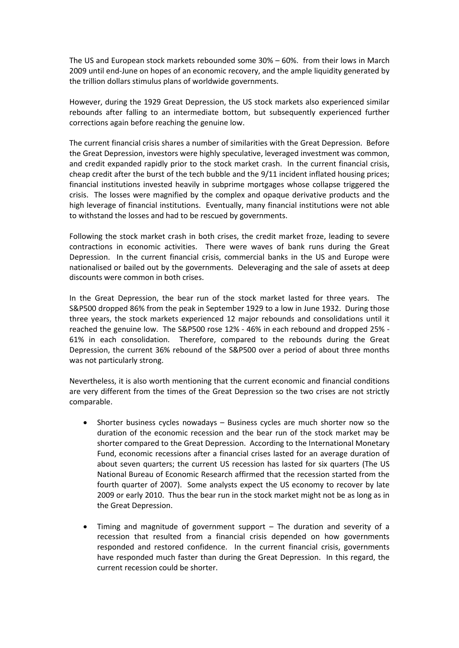The US and European stock markets rebounded some 30% – 60%. from their lows in March 2009 until end-June on hopes of an economic recovery, and the ample liquidity generated by the trillion dollars stimulus plans of worldwide governments.

However, during the 1929 Great Depression, the US stock markets also experienced similar rebounds after falling to an intermediate bottom, but subsequently experienced further corrections again before reaching the genuine low.

The current financial crisis shares a number of similarities with the Great Depression. Before the Great Depression, investors were highly speculative, leveraged investment was common, and credit expanded rapidly prior to the stock market crash. In the current financial crisis, cheap credit after the burst of the tech bubble and the 9/11 incident inflated housing prices; financial institutions invested heavily in subprime mortgages whose collapse triggered the crisis. The losses were magnified by the complex and opaque derivative products and the high leverage of financial institutions. Eventually, many financial institutions were not able to withstand the losses and had to be rescued by governments.

Following the stock market crash in both crises, the credit market froze, leading to severe contractions in economic activities. There were waves of bank runs during the Great Depression. In the current financial crisis, commercial banks in the US and Europe were nationalised or bailed out by the governments. Deleveraging and the sale of assets at deep discounts were common in both crises.

In the Great Depression, the bear run of the stock market lasted for three years. The S&P500 dropped 86% from the peak in September 1929 to a low in June 1932. During those three years, the stock markets experienced 12 major rebounds and consolidations until it reached the genuine low. The S&P500 rose 12% - 46% in each rebound and dropped 25% - 61% in each consolidation. Therefore, compared to the rebounds during the Great Depression, the current 36% rebound of the S&P500 over a period of about three months was not particularly strong.

Nevertheless, it is also worth mentioning that the current economic and financial conditions are very different from the times of the Great Depression so the two crises are not strictly comparable.

- Shorter business cycles nowadays  $-$  Business cycles are much shorter now so the duration of the economic recession and the bear run of the stock market may be shorter compared to the Great Depression. According to the International Monetary Fund, economic recessions after a financial crises lasted for an average duration of about seven quarters; the current US recession has lasted for six quarters (The US National Bureau of Economic Research affirmed that the recession started from the fourth quarter of 2007). Some analysts expect the US economy to recover by late 2009 or early 2010. Thus the bear run in the stock market might not be as long as in the Great Depression.
- Timing and magnitude of government support The duration and severity of a recession that resulted from a financial crisis depended on how governments responded and restored confidence. In the current financial crisis, governments have responded much faster than during the Great Depression. In this regard, the current recession could be shorter.